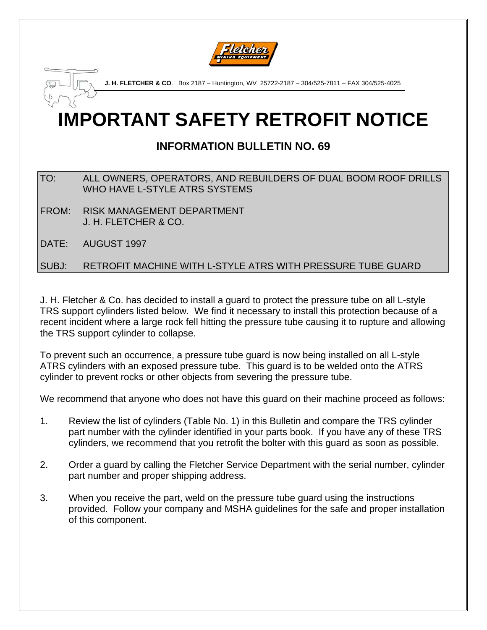

**J. H. FLETCHER & CO**. Box 2187 – Huntington, WV 25722-2187 – 304/525-7811 – FAX 304/525-4025

# **IMPORTANT SAFETY RETROFIT NOTICE**

## **INFORMATION BULLETIN NO. 69**

#### TO: ALL OWNERS, OPERATORS, AND REBUILDERS OF DUAL BOOM ROOF DRILLS WHO HAVE L-STYLE ATRS SYSTEMS

- FROM: RISK MANAGEMENT DEPARTMENT J. H. FLETCHER & CO.
- DATE: AUGUST 1997

#### SUBJ: RETROFIT MACHINE WITH L-STYLE ATRS WITH PRESSURE TUBE GUARD

J. H. Fletcher & Co. has decided to install a guard to protect the pressure tube on all L-style TRS support cylinders listed below. We find it necessary to install this protection because of a recent incident where a large rock fell hitting the pressure tube causing it to rupture and allowing the TRS support cylinder to collapse.

To prevent such an occurrence, a pressure tube guard is now being installed on all L-style ATRS cylinders with an exposed pressure tube. This guard is to be welded onto the ATRS cylinder to prevent rocks or other objects from severing the pressure tube.

We recommend that anyone who does not have this guard on their machine proceed as follows:

- 1. Review the list of cylinders (Table No. 1) in this Bulletin and compare the TRS cylinder part number with the cylinder identified in your parts book. If you have any of these TRS cylinders, we recommend that you retrofit the bolter with this guard as soon as possible.
- 2. Order a guard by calling the Fletcher Service Department with the serial number, cylinder part number and proper shipping address.
- 3. When you receive the part, weld on the pressure tube guard using the instructions provided. Follow your company and MSHA guidelines for the safe and proper installation of this component.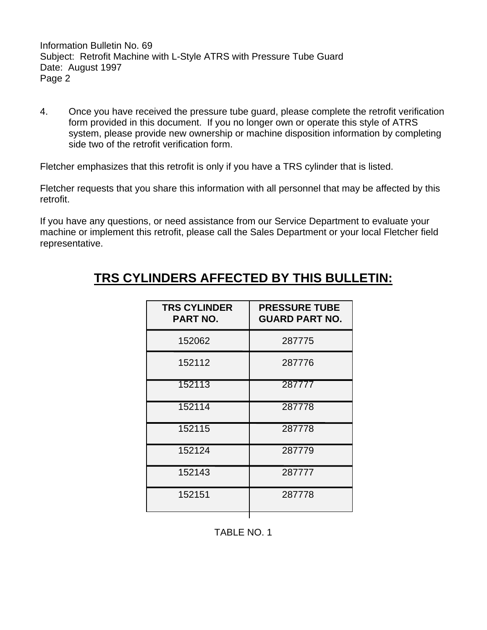Information Bulletin No. 69 Subject: Retrofit Machine with L-Style ATRS with Pressure Tube Guard Date: August 1997 Page 2

4. Once you have received the pressure tube guard, please complete the retrofit verification form provided in this document. If you no longer own or operate this style of ATRS system, please provide new ownership or machine disposition information by completing side two of the retrofit verification form.

Fletcher emphasizes that this retrofit is only if you have a TRS cylinder that is listed.

Fletcher requests that you share this information with all personnel that may be affected by this retrofit.

If you have any questions, or need assistance from our Service Department to evaluate your machine or implement this retrofit, please call the Sales Department or your local Fletcher field representative.

## **TRS CYLINDERS AFFECTED BY THIS BULLETIN:**

| <b>TRS CYLINDER</b><br><b>PART NO.</b> | <b>PRESSURE TUBE</b><br><b>GUARD PART NO.</b> |
|----------------------------------------|-----------------------------------------------|
| 152062                                 | 287775                                        |
| 152112                                 | 287776                                        |
| 152113                                 | 287777                                        |
| 152114                                 | 287778                                        |
| 152115                                 | 287778                                        |
| 152124                                 | 287779                                        |
| 152143                                 | 287777                                        |
| 152151                                 | 287778                                        |
|                                        |                                               |

TABLE NO. 1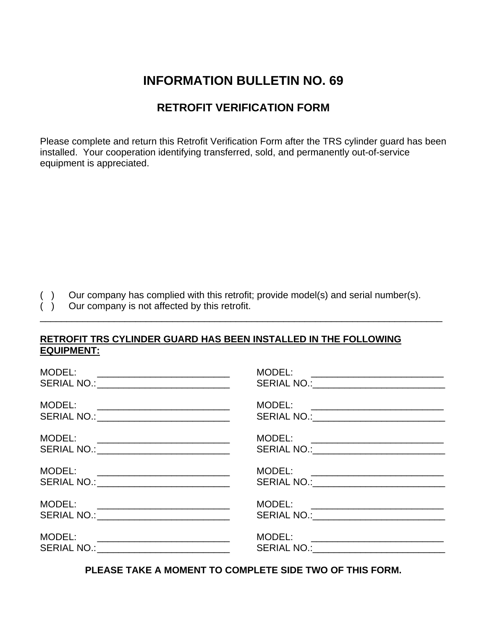## **INFORMATION BULLETIN NO. 69**

### **RETROFIT VERIFICATION FORM**

Please complete and return this Retrofit Verification Form after the TRS cylinder guard has been installed. Your cooperation identifying transferred, sold, and permanently out-of-service equipment is appreciated.

( ) Our company has complied with this retrofit; provide model(s) and serial number(s).

\_\_\_\_\_\_\_\_\_\_\_\_\_\_\_\_\_\_\_\_\_\_\_\_\_\_\_\_\_\_\_\_\_\_\_\_\_\_\_\_\_\_\_\_\_\_\_\_\_\_\_\_\_\_\_\_\_\_\_\_\_\_\_\_\_\_\_\_\_\_\_\_\_\_\_\_

( ) Our company is not affected by this retrofit.

#### **RETROFIT TRS CYLINDER GUARD HAS BEEN INSTALLED IN THE FOLLOWING EQUIPMENT:**

| MODEL:<br><u> 1989 - Andrea Barbara, Amerikaansk politik (</u><br>SERIAL NO.: _____________________________                                                                 | SERIAL NO.:_____________________________                                         |
|-----------------------------------------------------------------------------------------------------------------------------------------------------------------------------|----------------------------------------------------------------------------------|
| MODEL:<br><u> 1989 - Johann Barn, mars ann an t-Amhain ann an t-</u><br>SERIAL NO.: _____________________________                                                           | MODEL: ___________________________<br>SERIAL NO.:_______________________________ |
| MODEL:<br>SERIAL NO.: _____________________________                                                                                                                         | MODEL: ____________________________<br>SERIAL NO.:____________________________   |
| MODEL:<br><u> 1989 - Johann Barn, mars eta bainar eta baina eta hiri hau eta hiri hau eta hiri hau eta hiri hau eta hiri h</u><br>SERIAL NO.: _____________________________ | MODEL: ___________________________<br>SERIAL NO.:____________________________    |
| MODEL:<br><u> 1980 - Andrea Andrew Maria (h. 1980).</u><br>SERIAL NO.: ______________________________                                                                       | MODEL: __________________________<br>SERIAL NO.: _____________________________   |
| MODEL:<br>SERIAL NO.: _____________________________                                                                                                                         | SERIAL NO.:_____________________________                                         |

**PLEASE TAKE A MOMENT TO COMPLETE SIDE TWO OF THIS FORM.**